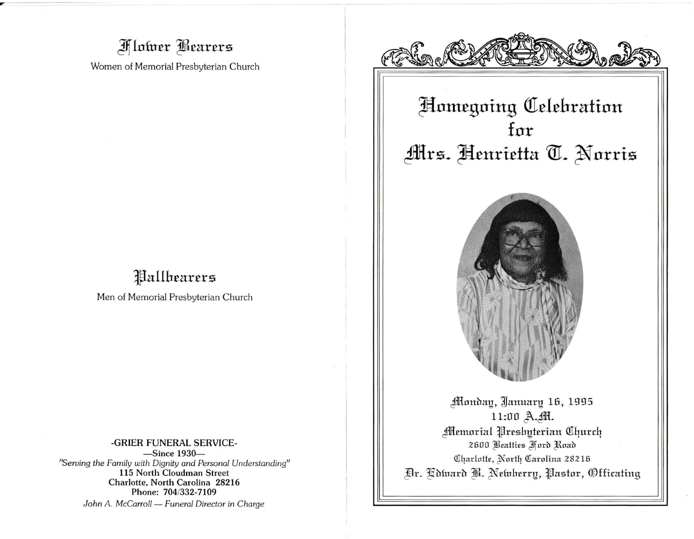## **Flower Bearers**

Women of Memorial Presbyterian Church

# Pallbearers

Men of Memorial Presbyterian Church

-GRIER FUNERAL SERVICE--Since 1930-"Serving the Family with Dignity and Personal Understanding" 115 North Cloudman Street Charlotte, North Carolina 28216 Phone: 704/332-7109 John A. McCarroll - Funeral Director in Charge



# Homegoing Celebration for Mrs. Henrietta T. Norris



Monday, January 16, 1995 11:00 A. M. **Memorial Preshyterian Church** 2600 Beatties Ford Road Charlotte, North Carolina 28216 Dr. Kdward B. Newherry, Pastor, Officating